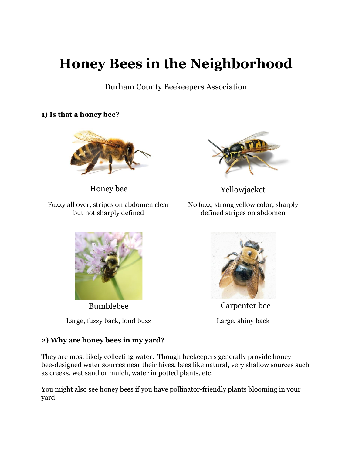# **Honey Bees in the Neighborhood**

Durham County Beekeepers Association

#### **1) Is that a honey bee?**



Fuzzy all over, stripes on abdomen clear but not sharply defined



Large, fuzzy back, loud buzz Large, shiny back

#### **2) Why are honey bees in my yard?**

They are most likely collecting water. Though beekeepers generally provide honey bee-designed water sources near their hives, bees like natural, very shallow sources such as creeks, wet sand or mulch, water in potted plants, etc.

You might also see honey bees if you have pollinator-friendly plants blooming in your yard.



Honey bee Yellowjacket

No fuzz, strong yellow color, sharply defined stripes on abdomen



Bumblebee Carpenter bee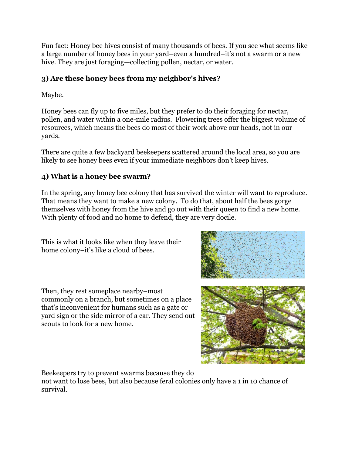Fun fact: Honey bee hives consist of many thousands of bees. If you see what seems like a large number of honey bees in your yard–even a hundred–it's not a swarm or a new hive. They are just foraging—collecting pollen, nectar, or water.

#### **3) Are these honey bees from my neighbor's hives?**

Maybe.

Honey bees can fly up to five miles, but they prefer to do their foraging for nectar, pollen, and water within a one-mile radius. Flowering trees offer the biggest volume of resources, which means the bees do most of their work above our heads, not in our yards.

There are quite a few backyard beekeepers scattered around the local area, so you are likely to see honey bees even if your immediate neighbors don't keep hives.

## **4) What is a honey bee swarm?**

In the spring, any honey bee colony that has survived the winter will want to reproduce. That means they want to make a new colony. To do that, about half the bees gorge themselves with honey from the hive and go out with their queen to find a new home. With plenty of food and no home to defend, they are very docile.

This is what it looks like when they leave their home colony–it's like a cloud of bees.

Then, they rest someplace nearby–most commonly on a branch, but sometimes on a place that's inconvenient for humans such as a gate or yard sign or the side mirror of a car. They send out scouts to look for a new home.





Beekeepers try to prevent swarms because they do not want to lose bees, but also because feral colonies only have a 1 in 10 chance of survival.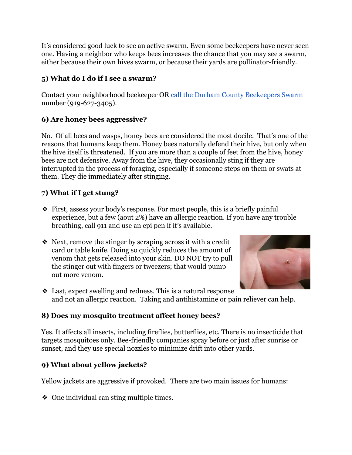It's considered good luck to see an active swarm. Even some beekeepers have never seen one. Having a neighbor who keeps bees increases the chance that you may see a swarm, either because their own hives swarm, or because their yards are pollinator-friendly.

#### **5) What do I do if I see a swarm?**

Contact your neighborhood beekeeper OR call the Durham [County Beekeepers Swarm](https://www.durhambeekeepers.org/swarms/) number (919-627-3405).

#### **6) Are honey bees aggressive?**

No. Of all bees and wasps, honey bees are considered the most docile. That's one of the reasons that humans keep them. Honey bees naturally defend their hive, but only when the hive itself is threatened. If you are more than a couple of feet from the hive, honey bees are not defensive. Away from the hive, they occasionally sting if they are interrupted in the process of foraging, especially if someone steps on them or swats at them. They die immediately after stinging.

## **7) What if I get stung?**

- ❖ First, assess your body's response. For most people, this is a briefly painful experience, but a few (aout 2%) have an allergic reaction. If you have any trouble breathing, call 911 and use an epi pen if it's available.
- ❖ Next, remove the stinger by scraping across it with a credit card or table knife. Doing so quickly reduces the amount of venom that gets released into your skin. DO NOT try to pull the stinger out with fingers or tweezers; that would pump out more venom.



❖ Last, expect swelling and redness. This is a natural response and not an allergic reaction. Taking and antihistamine or pain reliever can help.

#### **8) Does my mosquito treatment affect honey bees?**

Yes. It affects all insects, including fireflies, butterflies, etc. There is no insecticide that targets mosquitoes only. Bee-friendly companies spray before or just after sunrise or sunset, and they use special nozzles to minimize drift into other yards.

# **9) What about yellow jackets?**

Yellow jackets are aggressive if provoked. There are two main issues for humans:

❖ One individual can sting multiple times.